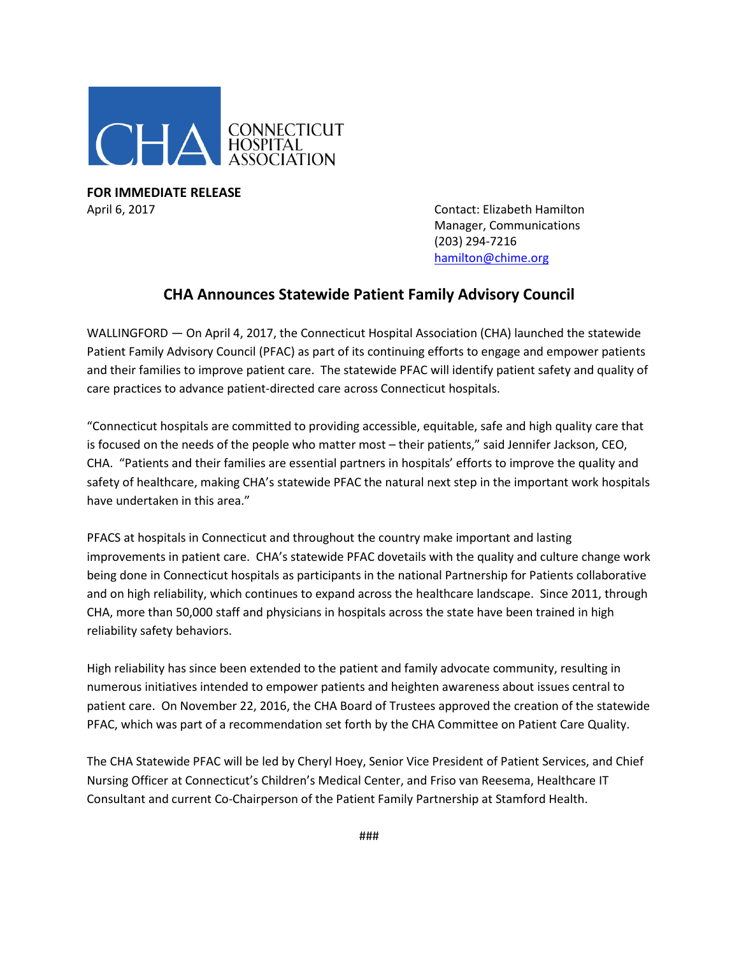

**FOR IMMEDIATE RELEASE** April 6, 2017 Contact: Elizabeth Hamilton

Manager, Communications (203) 294-7216 [hamilton@chime.org](mailto:hamilton@chime.org)

## **CHA Announces Statewide Patient Family Advisory Council**

WALLINGFORD — On April 4, 2017, the Connecticut Hospital Association (CHA) launched the statewide Patient Family Advisory Council (PFAC) as part of its continuing efforts to engage and empower patients and their families to improve patient care. The statewide PFAC will identify patient safety and quality of care practices to advance patient-directed care across Connecticut hospitals.

"Connecticut hospitals are committed to providing accessible, equitable, safe and high quality care that is focused on the needs of the people who matter most – their patients," said Jennifer Jackson, CEO, CHA. "Patients and their families are essential partners in hospitals' efforts to improve the quality and safety of healthcare, making CHA's statewide PFAC the natural next step in the important work hospitals have undertaken in this area."

PFACS at hospitals in Connecticut and throughout the country make important and lasting improvements in patient care. CHA's statewide PFAC dovetails with the quality and culture change work being done in Connecticut hospitals as participants in the national Partnership for Patients collaborative and on high reliability, which continues to expand across the healthcare landscape. Since 2011, through CHA, more than 50,000 staff and physicians in hospitals across the state have been trained in high reliability safety behaviors.

High reliability has since been extended to the patient and family advocate community, resulting in numerous initiatives intended to empower patients and heighten awareness about issues central to patient care. On November 22, 2016, the CHA Board of Trustees approved the creation of the statewide PFAC, which was part of a recommendation set forth by the CHA Committee on Patient Care Quality.

The CHA Statewide PFAC will be led by Cheryl Hoey, Senior Vice President of Patient Services, and Chief Nursing Officer at Connecticut's Children's Medical Center, and Friso van Reesema, Healthcare IT Consultant and current Co-Chairperson of the Patient Family Partnership at Stamford Health.